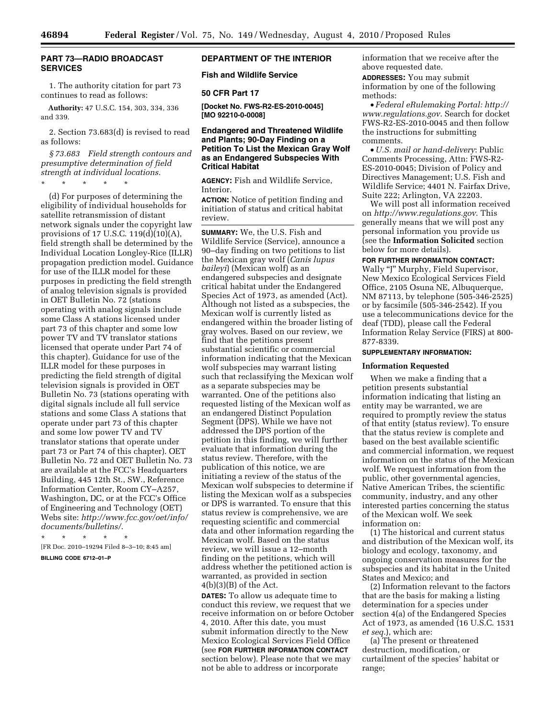## **PART 73—RADIO BROADCAST SERVICES**

1. The authority citation for part 73 continues to read as follows:

**Authority:** 47 U.S.C. 154, 303, 334, 336 and 339.

2. Section 73.683(d) is revised to read as follows:

*§ 73.683 Field strength contours and presumptive determination of field strength at individual locations.* 

\* \* \* \* \*

(d) For purposes of determining the eligibility of individual households for satellite retransmission of distant network signals under the copyright law provisions of 17 U.S.C. 119(d)(10)(A), field strength shall be determined by the Individual Location Longley-Rice (ILLR) propagation prediction model. Guidance for use of the ILLR model for these purposes in predicting the field strength of analog television signals is provided in OET Bulletin No. 72 (stations operating with analog signals include some Class A stations licensed under part 73 of this chapter and some low power TV and TV translator stations licensed that operate under Part 74 of this chapter). Guidance for use of the ILLR model for these purposes in predicting the field strength of digital television signals is provided in OET Bulletin No. 73 (stations operating with digital signals include all full service stations and some Class A stations that operate under part 73 of this chapter and some low power TV and TV translator stations that operate under part 73 or Part 74 of this chapter). OET Bulletin No. 72 and OET Bulletin No. 73 are available at the FCC's Headquarters Building, 445 12th St., SW., Reference Information Center, Room CY–A257, Washington, DC, or at the FCC's Office of Engineering and Technology (OET) Webs site: *[http://www.fcc.gov/oet/info/](http://www.fcc.gov/oet/info/documents/bulletins/)  [documents/bulletins/](http://www.fcc.gov/oet/info/documents/bulletins/)*.

\* \* \* \* \*

[FR Doc. 2010–19294 Filed 8–3–10; 8:45 am] **BILLING CODE 6712–01–P** 

## **DEPARTMENT OF THE INTERIOR**

**Fish and Wildlife Service** 

### **50 CFR Part 17**

**[Docket No. FWS-R2-ES-2010-0045] [MO 92210-0-0008]** 

### **Endangered and Threatened Wildlife and Plants; 90-Day Finding on a Petition To List the Mexican Gray Wolf as an Endangered Subspecies With Critical Habitat**

**AGENCY:** Fish and Wildlife Service, Interior.

**ACTION:** Notice of petition finding and initiation of status and critical habitat review.

**SUMMARY:** We, the U.S. Fish and Wildlife Service (Service), announce a 90–day finding on two petitions to list the Mexican gray wolf (*Canis lupus baileyi*) (Mexican wolf) as an endangered subspecies and designate critical habitat under the Endangered Species Act of 1973, as amended (Act). Although not listed as a subspecies, the Mexican wolf is currently listed as endangered within the broader listing of gray wolves. Based on our review, we find that the petitions present substantial scientific or commercial information indicating that the Mexican wolf subspecies may warrant listing such that reclassifying the Mexican wolf as a separate subspecies may be warranted. One of the petitions also requested listing of the Mexican wolf as an endangered Distinct Population Segment (DPS). While we have not addressed the DPS portion of the petition in this finding, we will further evaluate that information during the status review. Therefore, with the publication of this notice, we are initiating a review of the status of the Mexican wolf subspecies to determine if listing the Mexican wolf as a subspecies or DPS is warranted. To ensure that this status review is comprehensive, we are requesting scientific and commercial data and other information regarding the Mexican wolf. Based on the status review, we will issue a 12–month finding on the petitions, which will address whether the petitioned action is warranted, as provided in section  $4(b)(3)(B)$  of the Act.

**DATES:** To allow us adequate time to conduct this review, we request that we receive information on or before October 4, 2010. After this date, you must submit information directly to the New Mexico Ecological Services Field Office (see **FOR FURTHER INFORMATION CONTACT** section below). Please note that we may not be able to address or incorporate

information that we receive after the above requested date.

**ADDRESSES:** You may submit information by one of the following methods:

• *Federal eRulemaking Portal: [http://](http://www.regulations.gov) [www.regulations.gov](http://www.regulations.gov)*. Search for docket FWS-R2-ES-2010-0045 and then follow the instructions for submitting comments.

• *U.S. mail or hand-delivery*: Public Comments Processing, Attn: FWS-R2- ES-2010-0045; Division of Policy and Directives Management; U.S. Fish and Wildlife Service; 4401 N. Fairfax Drive, Suite 222; Arlington, VA 22203.

We will post all information received on *<http://www.regulations.gov>*. This generally means that we will post any personal information you provide us (see the **Information Solicited** section below for more details).

### **FOR FURTHER INFORMATION CONTACT:**

Wally "J" Murphy, Field Supervisor, New Mexico Ecological Services Field Office, 2105 Osuna NE, Albuquerque, NM 87113, by telephone (505-346-2525) or by facsimile (505-346-2542). If you use a telecommunications device for the deaf (TDD), please call the Federal Information Relay Service (FIRS) at 800- 877-8339.

### **SUPPLEMENTARY INFORMATION:**

#### **Information Requested**

When we make a finding that a petition presents substantial information indicating that listing an entity may be warranted, we are required to promptly review the status of that entity (status review). To ensure that the status review is complete and based on the best available scientific and commercial information, we request information on the status of the Mexican wolf. We request information from the public, other governmental agencies, Native American Tribes, the scientific community, industry, and any other interested parties concerning the status of the Mexican wolf. We seek information on:

(1) The historical and current status and distribution of the Mexican wolf, its biology and ecology, taxonomy, and ongoing conservation measures for the subspecies and its habitat in the United States and Mexico; and

(2) Information relevant to the factors that are the basis for making a listing determination for a species under section 4(a) of the Endangered Species Act of 1973, as amended (16 U.S.C. 1531 *et seq.*), which are:

(a) The present or threatened destruction, modification, or curtailment of the species' habitat or range;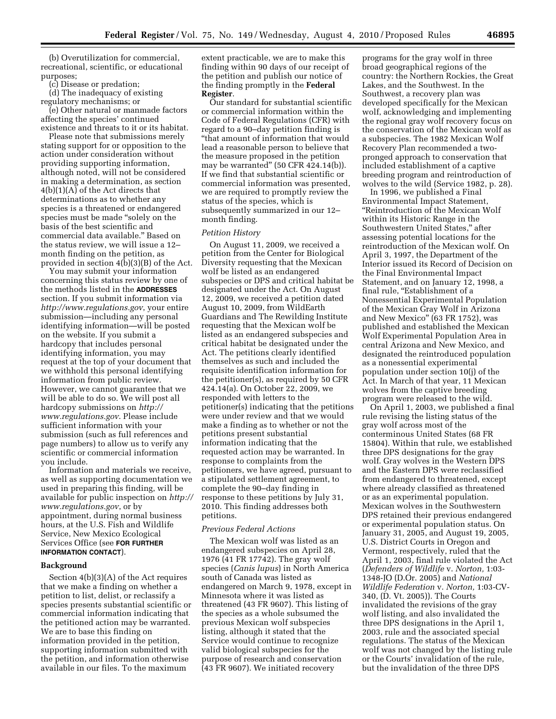(b) Overutilization for commercial, recreational, scientific, or educational purposes;

(c) Disease or predation;

(d) The inadequacy of existing regulatory mechanisms; or

(e) Other natural or manmade factors affecting the species' continued existence and threats to it or its habitat.

Please note that submissions merely stating support for or opposition to the action under consideration without providing supporting information, although noted, will not be considered in making a determination, as section 4(b)(1)(A) of the Act directs that determinations as to whether any species is a threatened or endangered species must be made ''solely on the basis of the best scientific and commercial data available.'' Based on the status review, we will issue a 12– month finding on the petition, as provided in section 4(b)(3)(B) of the Act.

You may submit your information concerning this status review by one of the methods listed in the **ADDRESSES** section. If you submit information via *<http://www.regulations.gov>*, your entire submission—including any personal identifying information—will be posted on the website. If you submit a hardcopy that includes personal identifying information, you may request at the top of your document that we withhold this personal identifying information from public review. However, we cannot guarantee that we will be able to do so. We will post all hardcopy submissions on *[http://](http://www.regulations.gov) [www.regulations.gov](http://www.regulations.gov)*. Please include sufficient information with your submission (such as full references and page numbers) to allow us to verify any scientific or commercial information you include.

Information and materials we receive, as well as supporting documentation we used in preparing this finding, will be available for public inspection on *[http://](http://www.regulations.gov)  [www.regulations.gov](http://www.regulations.gov)*, or by appointment, during normal business hours, at the U.S. Fish and Wildlife Service, New Mexico Ecological Services Office (see **FOR FURTHER INFORMATION CONTACT**).

#### **Background**

Section 4(b)(3)(A) of the Act requires that we make a finding on whether a petition to list, delist, or reclassify a species presents substantial scientific or commercial information indicating that the petitioned action may be warranted. We are to base this finding on information provided in the petition, supporting information submitted with the petition, and information otherwise available in our files. To the maximum

extent practicable, we are to make this finding within 90 days of our receipt of the petition and publish our notice of the finding promptly in the **Federal Register**.

Our standard for substantial scientific or commercial information within the Code of Federal Regulations (CFR) with regard to a 90–day petition finding is ''that amount of information that would lead a reasonable person to believe that the measure proposed in the petition may be warranted'' (50 CFR 424.14(b)). If we find that substantial scientific or commercial information was presented, we are required to promptly review the status of the species, which is subsequently summarized in our 12– month finding.

#### *Petition History*

On August 11, 2009, we received a petition from the Center for Biological Diversity requesting that the Mexican wolf be listed as an endangered subspecies or DPS and critical habitat be designated under the Act. On August 12, 2009, we received a petition dated August 10, 2009, from WildEarth Guardians and The Rewilding Institute requesting that the Mexican wolf be listed as an endangered subspecies and critical habitat be designated under the Act. The petitions clearly identified themselves as such and included the requisite identification information for the petitioner(s), as required by 50 CFR 424.14(a). On October 22, 2009, we responded with letters to the petitioner(s) indicating that the petitions were under review and that we would make a finding as to whether or not the petitions present substantial information indicating that the requested action may be warranted. In response to complaints from the petitioners, we have agreed, pursuant to a stipulated settlement agreement, to complete the 90–day finding in response to these petitions by July 31, 2010. This finding addresses both petitions.

#### *Previous Federal Actions*

The Mexican wolf was listed as an endangered subspecies on April 28, 1976 (41 FR 17742). The gray wolf species (*Canis lupus*) in North America south of Canada was listed as endangered on March 9, 1978, except in Minnesota where it was listed as threatened (43 FR 9607). This listing of the species as a whole subsumed the previous Mexican wolf subspecies listing, although it stated that the Service would continue to recognize valid biological subspecies for the purpose of research and conservation (43 FR 9607). We initiated recovery

programs for the gray wolf in three broad geographical regions of the country: the Northern Rockies, the Great Lakes, and the Southwest. In the Southwest, a recovery plan was developed specifically for the Mexican wolf, acknowledging and implementing the regional gray wolf recovery focus on the conservation of the Mexican wolf as a subspecies. The 1982 Mexican Wolf Recovery Plan recommended a twopronged approach to conservation that included establishment of a captive breeding program and reintroduction of wolves to the wild (Service 1982, p. 28).

In 1996, we published a Final Environmental Impact Statement, ''Reintroduction of the Mexican Wolf within its Historic Range in the Southwestern United States,'' after assessing potential locations for the reintroduction of the Mexican wolf. On April 3, 1997, the Department of the Interior issued its Record of Decision on the Final Environmental Impact Statement, and on January 12, 1998, a final rule, "Establishment of a Nonessential Experimental Population of the Mexican Gray Wolf in Arizona and New Mexico'' (63 FR 1752), was published and established the Mexican Wolf Experimental Population Area in central Arizona and New Mexico, and designated the reintroduced population as a nonessential experimental population under section 10(j) of the Act. In March of that year, 11 Mexican wolves from the captive breeding program were released to the wild.

On April 1, 2003, we published a final rule revising the listing status of the gray wolf across most of the conterminous United States (68 FR 15804). Within that rule, we established three DPS designations for the gray wolf. Gray wolves in the Western DPS and the Eastern DPS were reclassified from endangered to threatened, except where already classified as threatened or as an experimental population. Mexican wolves in the Southwestern DPS retained their previous endangered or experimental population status. On January 31, 2005, and August 19, 2005, U.S. District Courts in Oregon and Vermont, respectively, ruled that the April 1, 2003, final rule violated the Act (*Defenders of Wildlife* v. *Norton,* 1:03- 1348-JO (D.Or. 2005) and *National Wildlife Federation* v. *Norton,* 1:03-CV-340, (D. Vt. 2005)). The Courts invalidated the revisions of the gray wolf listing, and also invalidated the three DPS designations in the April 1, 2003, rule and the associated special regulations. The status of the Mexican wolf was not changed by the listing rule or the Courts' invalidation of the rule, but the invalidation of the three DPS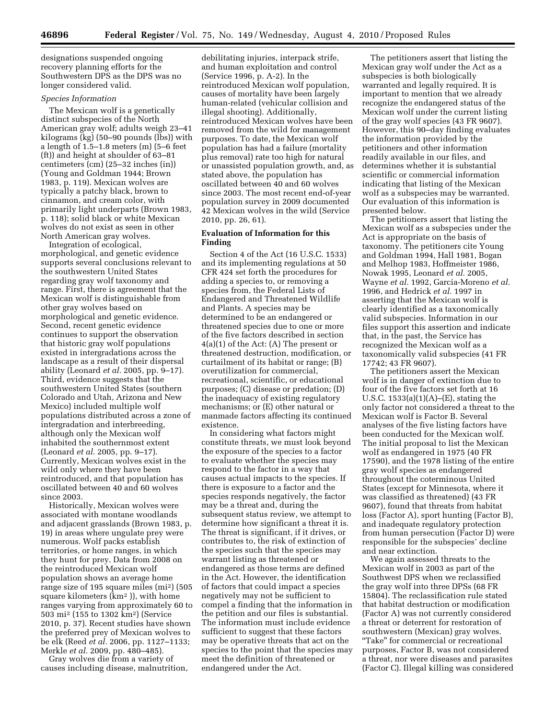designations suspended ongoing recovery planning efforts for the Southwestern DPS as the DPS was no longer considered valid.

#### *Species Information*

The Mexican wolf is a genetically distinct subspecies of the North American gray wolf; adults weigh 23–41 kilograms (kg) (50–90 pounds (lbs)) with a length of 1.5–1.8 meters (m) (5–6 feet (ft)) and height at shoulder of 63–81 centimeters (cm) (25–32 inches (in)) (Young and Goldman 1944; Brown 1983, p. 119). Mexican wolves are typically a patchy black, brown to cinnamon, and cream color, with primarily light underparts (Brown 1983, p. 118); solid black or white Mexican wolves do not exist as seen in other North American gray wolves.

Integration of ecological, morphological, and genetic evidence supports several conclusions relevant to the southwestern United States regarding gray wolf taxonomy and range. First, there is agreement that the Mexican wolf is distinguishable from other gray wolves based on morphological and genetic evidence. Second, recent genetic evidence continues to support the observation that historic gray wolf populations existed in intergradations across the landscape as a result of their dispersal ability (Leonard *et al.* 2005, pp. 9–17). Third, evidence suggests that the southwestern United States (southern Colorado and Utah, Arizona and New Mexico) included multiple wolf populations distributed across a zone of intergradation and interbreeding, although only the Mexican wolf inhabited the southernmost extent (Leonard *et al.* 2005, pp. 9–17). Currently, Mexican wolves exist in the wild only where they have been reintroduced, and that population has oscillated between 40 and 60 wolves since 2003.

Historically, Mexican wolves were associated with montane woodlands and adjacent grasslands (Brown 1983, p. 19) in areas where ungulate prey were numerous. Wolf packs establish territories, or home ranges, in which they hunt for prey. Data from 2008 on the reintroduced Mexican wolf population shows an average home range size of 195 square miles (mi2) (505 square kilometers (km2 )), with home ranges varying from approximately 60 to 503 mi2 (155 to 1302 km2) (Service 2010, p. 37). Recent studies have shown the preferred prey of Mexican wolves to be elk (Reed *et al.* 2006, pp. 1127–1133; Merkle *et al.* 2009, pp. 480–485).

Gray wolves die from a variety of causes including disease, malnutrition, debilitating injuries, interpack strife, and human exploitation and control (Service 1996, p. A-2). In the reintroduced Mexican wolf population, causes of mortality have been largely human-related (vehicular collision and illegal shooting). Additionally, reintroduced Mexican wolves have been removed from the wild for management purposes. To date, the Mexican wolf population has had a failure (mortality plus removal) rate too high for natural or unassisted population growth, and, as stated above, the population has oscillated between 40 and 60 wolves since 2003. The most recent end-of-year population survey in 2009 documented 42 Mexican wolves in the wild (Service 2010, pp. 26, 61).

### **Evaluation of Information for this Finding**

Section 4 of the Act (16 U.S.C. 1533) and its implementing regulations at 50 CFR 424 set forth the procedures for adding a species to, or removing a species from, the Federal Lists of Endangered and Threatened Wildlife and Plants. A species may be determined to be an endangered or threatened species due to one or more of the five factors described in section 4(a)(1) of the Act: (A) The present or threatened destruction, modification, or curtailment of its habitat or range; (B) overutilization for commercial, recreational, scientific, or educational purposes; (C) disease or predation; (D) the inadequacy of existing regulatory mechanisms; or (E) other natural or manmade factors affecting its continued existence.

In considering what factors might constitute threats, we must look beyond the exposure of the species to a factor to evaluate whether the species may respond to the factor in a way that causes actual impacts to the species. If there is exposure to a factor and the species responds negatively, the factor may be a threat and, during the subsequent status review, we attempt to determine how significant a threat it is. The threat is significant, if it drives, or contributes to, the risk of extinction of the species such that the species may warrant listing as threatened or endangered as those terms are defined in the Act. However, the identification of factors that could impact a species negatively may not be sufficient to compel a finding that the information in the petition and our files is substantial. The information must include evidence sufficient to suggest that these factors may be operative threats that act on the species to the point that the species may meet the definition of threatened or endangered under the Act.

The petitioners assert that listing the Mexican gray wolf under the Act as a subspecies is both biologically warranted and legally required. It is important to mention that we already recognize the endangered status of the Mexican wolf under the current listing of the gray wolf species (43 FR 9607). However, this 90–day finding evaluates the information provided by the petitioners and other information readily available in our files, and determines whether it is substantial scientific or commercial information indicating that listing of the Mexican wolf as a subspecies may be warranted. Our evaluation of this information is presented below.

The petitioners assert that listing the Mexican wolf as a subspecies under the Act is appropriate on the basis of taxonomy. The petitioners cite Young and Goldman 1994, Hall 1981, Bogan and Melhop 1983, Hoffmeister 1986, Nowak 1995, Leonard *et al.* 2005, Wayne *et al.* 1992, Garcia-Moreno *et al.*  1996, and Hedrick *et al.* 1997 in asserting that the Mexican wolf is clearly identified as a taxonomically valid subspecies. Information in our files support this assertion and indicate that, in the past, the Service has recognized the Mexican wolf as a taxonomically valid subspecies (41 FR 17742; 43 FR 9607).

The petitioners assert the Mexican wolf is in danger of extinction due to four of the five factors set forth at 16 U.S.C.  $1533(a)(1)(A)$ –(E), stating the only factor not considered a threat to the Mexican wolf is Factor B. Several analyses of the five listing factors have been conducted for the Mexican wolf. The initial proposal to list the Mexican wolf as endangered in 1975 (40 FR 17590), and the 1978 listing of the entire gray wolf species as endangered throughout the coterminous United States (except for Minnesota, where it was classified as threatened) (43 FR 9607), found that threats from habitat loss (Factor A), sport hunting (Factor B), and inadequate regulatory protection from human persecution (Factor D) were responsible for the subspecies' decline and near extinction.

We again assessed threats to the Mexican wolf in 2003 as part of the Southwest DPS when we reclassified the gray wolf into three DPSs (68 FR 15804). The reclassification rule stated that habitat destruction or modification (Factor A) was not currently considered a threat or deterrent for restoration of southwestern (Mexican) gray wolves. ''Take'' for commercial or recreational purposes, Factor B, was not considered a threat, nor were diseases and parasites (Factor C). Illegal killing was considered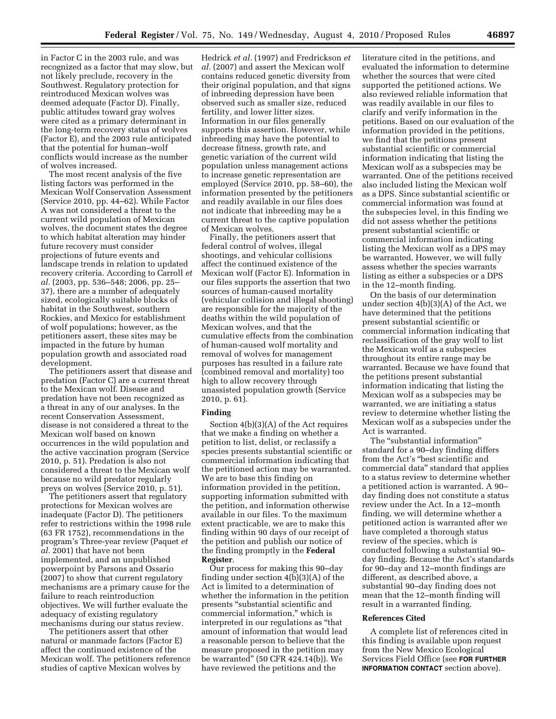in Factor C in the 2003 rule, and was recognized as a factor that may slow, but not likely preclude, recovery in the Southwest. Regulatory protection for reintroduced Mexican wolves was deemed adequate (Factor D). Finally, public attitudes toward gray wolves were cited as a primary determinant in the long-term recovery status of wolves (Factor E), and the 2003 rule anticipated that the potential for human–wolf conflicts would increase as the number of wolves increased.

The most recent analysis of the five listing factors was performed in the Mexican Wolf Conservation Assessment (Service 2010, pp. 44–62). While Factor A was not considered a threat to the current wild population of Mexican wolves, the document states the degree to which habitat alteration may hinder future recovery must consider projections of future events and landscape trends in relation to updated recovery criteria. According to Carroll *et al.* (2003, pp. 536–548; 2006, pp. 25– 37), there are a number of adequately sized, ecologically suitable blocks of habitat in the Southwest, southern Rockies, and Mexico for establishment of wolf populations; however, as the petitioners assert, these sites may be impacted in the future by human population growth and associated road development.

The petitioners assert that disease and predation (Factor C) are a current threat to the Mexican wolf. Disease and predation have not been recognized as a threat in any of our analyses. In the recent Conservation Assessment, disease is not considered a threat to the Mexican wolf based on known occurrences in the wild population and the active vaccination program (Service 2010, p. 51). Predation is also not considered a threat to the Mexican wolf because no wild predator regularly preys on wolves (Service 2010, p. 51).

The petitioners assert that regulatory protections for Mexican wolves are inadequate (Factor D). The petitioners refer to restrictions within the 1998 rule (63 FR 1752), recommendations in the program's Three-year review (Paquet *et al.* 2001) that have not been implemented, and an unpublished powerpoint by Parsons and Ossario (2007) to show that current regulatory mechanisms are a primary cause for the failure to reach reintroduction objectives. We will further evaluate the adequacy of existing regulatory mechanisms during our status review.

The petitioners assert that other natural or manmade factors (Factor E) affect the continued existence of the Mexican wolf. The petitioners reference studies of captive Mexican wolves by

Hedrick *et al.* (1997) and Fredrickson *et al.* (2007) and assert the Mexican wolf contains reduced genetic diversity from their original population, and that signs of inbreeding depression have been observed such as smaller size, reduced fertility, and lower litter sizes. Information in our files generally supports this assertion. However, while inbreeding may have the potential to decrease fitness, growth rate, and genetic variation of the current wild population unless management actions to increase genetic representation are employed (Service 2010, pp. 58–60), the information presented by the petitioners and readily available in our files does not indicate that inbreeding may be a current threat to the captive population of Mexican wolves.

Finally, the petitioners assert that federal control of wolves, illegal shootings, and vehicular collisions affect the continued existence of the Mexican wolf (Factor E). Information in our files supports the assertion that two sources of human-caused mortality (vehicular collision and illegal shooting) are responsible for the majority of the deaths within the wild population of Mexican wolves, and that the cumulative effects from the combination of human-caused wolf mortality and removal of wolves for management purposes has resulted in a failure rate (combined removal and mortality) too high to allow recovery through unassisted population growth (Service 2010, p. 61).

### **Finding**

Section 4(b)(3)(A) of the Act requires that we make a finding on whether a petition to list, delist, or reclassify a species presents substantial scientific or commercial information indicating that the petitioned action may be warranted. We are to base this finding on information provided in the petition, supporting information submitted with the petition, and information otherwise available in our files. To the maximum extent practicable, we are to make this finding within 90 days of our receipt of the petition and publish our notice of the finding promptly in the **Federal Register**.

Our process for making this 90–day finding under section 4(b)(3)(A) of the Act is limited to a determination of whether the information in the petition presents ''substantial scientific and commercial information,'' which is interpreted in our regulations as ''that amount of information that would lead a reasonable person to believe that the measure proposed in the petition may be warranted'' (50 CFR 424.14(b)). We have reviewed the petitions and the

literature cited in the petitions, and evaluated the information to determine whether the sources that were cited supported the petitioned actions. We also reviewed reliable information that was readily available in our files to clarify and verify information in the petitions. Based on our evaluation of the information provided in the petitions, we find that the petitions present substantial scientific or commercial information indicating that listing the Mexican wolf as a subspecies may be warranted. One of the petitions received also included listing the Mexican wolf as a DPS. Since substantial scientific or commercial information was found at the subspecies level, in this finding we did not assess whether the petitions present substantial scientific or commercial information indicating listing the Mexican wolf as a DPS may be warranted. However, we will fully assess whether the species warrants listing as either a subspecies or a DPS in the 12–month finding.

On the basis of our determination under section 4(b)(3)(A) of the Act, we have determined that the petitions present substantial scientific or commercial information indicating that reclassification of the gray wolf to list the Mexican wolf as a subspecies throughout its entire range may be warranted. Because we have found that the petitions present substantial information indicating that listing the Mexican wolf as a subspecies may be warranted, we are initiating a status review to determine whether listing the Mexican wolf as a subspecies under the Act is warranted.

The ''substantial information'' standard for a 90–day finding differs from the Act's ''best scientific and commercial data'' standard that applies to a status review to determine whether a petitioned action is warranted. A 90– day finding does not constitute a status review under the Act. In a 12–month finding, we will determine whether a petitioned action is warranted after we have completed a thorough status review of the species, which is conducted following a substantial 90– day finding. Because the Act's standards for 90–day and 12–month findings are different, as described above, a substantial 90–day finding does not mean that the 12–month finding will result in a warranted finding.

### **References Cited**

A complete list of references cited in this finding is available upon request from the New Mexico Ecological Services Field Office (see **FOR FURTHER INFORMATION CONTACT** section above).